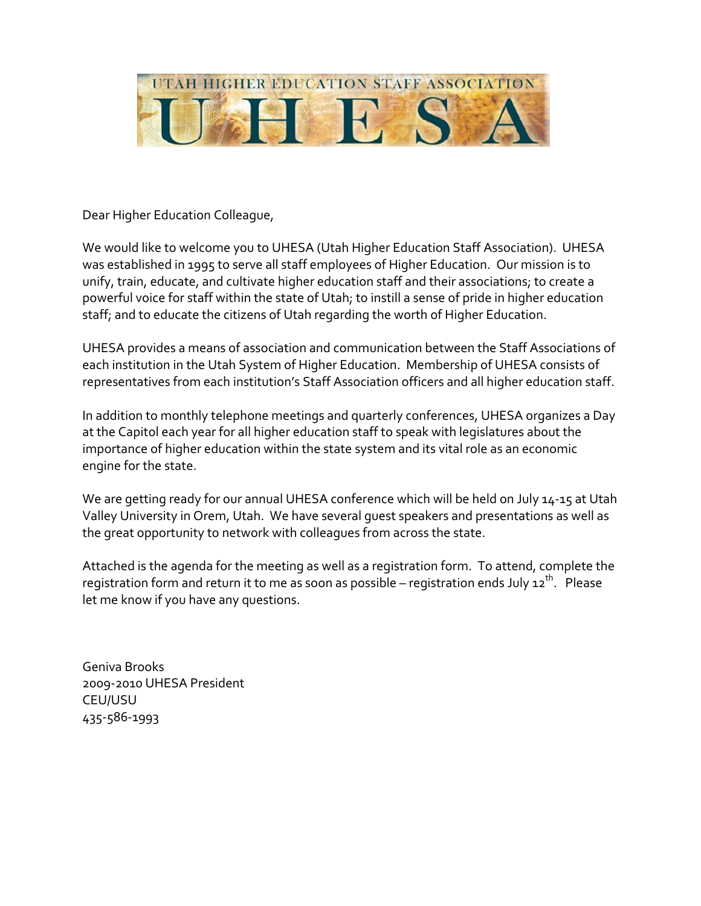

Dear Higher Education Colleague,

We would like to welcome you to UHESA (Utah Higher Education Staff Association). UHESA was established in 1995 to serve all staff employees of Higher Education. Our mission is to unify, train, educate, and cultivate higher education staff and their associations; to create a powerful voice for staff within the state of Utah; to instill a sense of pride in higher education staff; and to educate the citizens of Utah regarding the worth of Higher Education.

UHESA provides a means of association and communication between the Staff Associations of each institution in the Utah System of Higher Education. Membership of UHESA consists of representatives from each institution's Staff Association officers and all higher education staff.

In addition to monthly telephone meetings and quarterly conferences, UHESA organizes a Day at the Capitol each year for all higher education staff to speak with legislatures about the importance of higher education within the state system and its vital role as an economic engine for the state.

We are getting ready for our annual UHESA conference which will be held on July 14-15 at Utah Valley University in Orem, Utah. We have several guest speakers and presentations as well as the great opportunity to network with colleagues from across the state.

Attached is the agenda for the meeting as well as a registration form. To attend, complete the registration form and return it to me as soon as possible – registration ends July  $12^{th}$ . Please let me know if you have any questions.

Geniva Brooks 2009‐2010 UHESA President CEU/USU 435‐586‐1993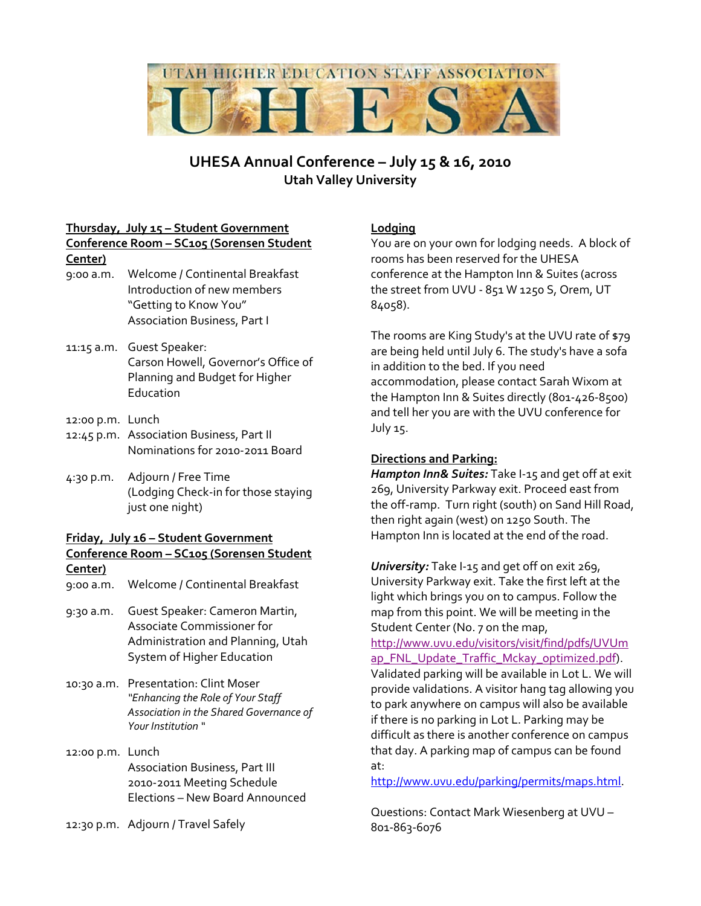

# **UHESA Annual Conference – July 15 & 16, 2010 Utah Valley University**

# **Thursday, July 15 – Student Government**

#### **Conference Room – SC105 (Sorensen Student Center)**

- 9:00 a.m. Welcome / Continental Breakfast Introduction of new members "Getting to Know You" Association Business, Part I
- 11:15 a.m. Guest Speaker: Carson Howell, Governor's Office of Planning and Budget for Higher Education
- 12:00 p.m. Lunch
- 12:45 p.m. Association Business, Part II Nominations for 2010‐2011 Board
- 4:30 p.m. Adjourn / Free Time (Lodging Check‐in for those staying just one night)

#### **Friday, July 16 – Student Government Conference Room – SC105 (Sorensen Student Center)**

- 9:00 a.m. Welcome / Continental Breakfast
- 9:30 a.m. Guest Speaker: Cameron Martin, Associate Commissioner for Administration and Planning, Utah System of Higher Education
- 10:30 a.m. Presentation: Clint Moser *"Enhancing the Role of Your Staff Association in the Shared Governance of Your Institution "*
- 12:00 p.m. Lunch Association Business, Part III 2010‐2011 Meeting Schedule Elections – New Board Announced

12:30 p.m. Adjourn / Travel Safely

## **Lodging**

You are on your own for lodging needs. A block of rooms has been reserved for the UHESA conference at the Hampton Inn & Suites (across the street from UVU ‐ 851 W 1250 S, Orem, UT 84058).

The rooms are King Study's at the UVU rate of \$79 are being held until July 6. The study's have a sofa in addition to the bed. If you need accommodation, please contact Sarah Wixom at the Hampton Inn & Suites directly (801‐426‐8500) and tell her you are with the UVU conference for July 15.

### **Directions and Parking:**

*Hampton Inn& Suites:* Take I‐15 and get off at exit 269, University Parkway exit. Proceed east from the off‐ramp. Turn right (south) on Sand Hill Road, then right again (west) on 1250 South. The Hampton Inn is located at the end of the road.

*University:* Take I‐15 and get off on exit 269, University Parkway exit. Take the first left at the light which brings you on to campus. Follow the map from this point. We will be meeting in the Student Center (No. 7 on the map,

http://www.uvu.edu/visitors/visit/find/pdfs/UVUm ap\_FNL\_Update\_Traffic\_Mckay\_optimized.pdf). Validated parking will be available in Lot L. We will provide validations. A visitor hang tag allowing you to park anywhere on campus will also be available if there is no parking in Lot L. Parking may be difficult as there is another conference on campus that day. A parking map of campus can be found at:

http://www.uvu.edu/parking/permits/maps.html.

Questions: Contact Mark Wiesenberg at UVU – 801‐863‐6076